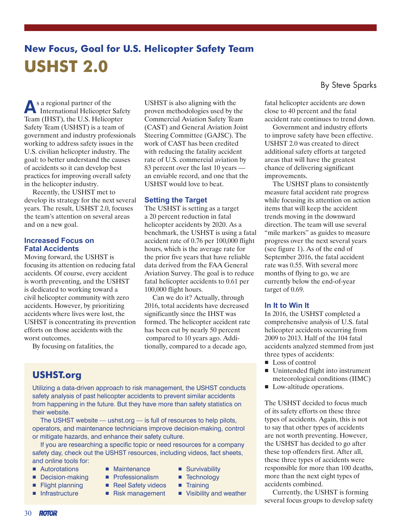# **New Focus, Goal for U.S. Helicopter Safety Team USHST 2.0**

**A**s a regional partner of the International Helicopter Safety Team (IHST), the U.S. Helicopter Safety Team (USHST) is a team of government and industry professionals working to address safety issues in the U.S. civilian helicopter industry. The goal: to better understand the causes of accidents so it can develop best practices for improving overall safety in the helicopter industry.

Recently, the USHST met to develop its strategy for the next several years. The result, USHST 2.0, focuses the team's attention on several areas and on a new goal.

#### **Increased Focus on Fatal Accidents**

Moving forward, the USHST is focusing its attention on reducing fatal accidents. Of course, every accident is worth preventing, and the USHST is dedicated to working toward a civil helicopter community with zero accidents. However, by prioritizing accidents where lives were lost, the USHST is concentrating its prevention efforts on those accidents with the worst outcomes.

By focusing on fatalities, the

USHST is also aligning with the proven methodologies used by the Commercial Aviation Safety Team (CAST) and General Aviation Joint Steering Committee (GAJSC). The work of CAST has been credited with reducing the fatality accident rate of U.S. commercial aviation by 83 percent over the last 10 years an enviable record, and one that the USHST would love to beat.

## **Setting the Target**

The USHST is setting as a target a 20 percent reduction in fatal helicopter accidents by 2020. As a benchmark, the USHST is using a fatal accident rate of 0.76 per 100,000 flight hours, which is the average rate for the prior five years that have reliable data derived from the FAA General Aviation Survey. The goal is to reduce fatal helicopter accidents to 0.61 per 100,000 flight hours.

Can we do it? Actually, through 2016, total accidents have decreased significantly since the IHST was formed. The helicopter accident rate has been cut by nearly 50 percent compared to 10 years ago. Additionally, compared to a decade ago,

# **USHST.org**

Utilizing a data-driven approach to risk management, the USHST conducts safety analysis of past helicopter accidents to prevent similar accidents from happening in the future. But they have more than safety statistics on their website.

The USHST website — ushst.org — is full of resources to help pilots, operators, and maintenance technicians improve decision-making, control or mitigate hazards, and enhance their safety culture.

If you are researching a specific topic or need resources for a company safety day, check out the USHST resources, including videos, fact sheets, and online tools for:

- Autorotations
- Decision-making
- Flight planning
- Infrastructure
- Maintenance ■ Professionalism
- Reel Safety videos
- Risk management
- Survivability ■ Technology
- Training
- Visibility and weather

By Steve Sparks

fatal helicopter accidents are down close to 40 percent and the fatal accident rate continues to trend down.

Government and industry efforts to improve safety have been effective. USHST 2.0 was created to direct additional safety efforts at targeted areas that will have the greatest chance of delivering significant improvements.

The USHST plans to consistently measure fatal accident rate progress while focusing its attention on action items that will keep the accident trends moving in the downward direction. The team will use several "mile markers" as guides to measure progress over the next several years (see figure 1). As of the end of September 2016, the fatal accident rate was 0.55. With several more months of flying to go, we are currently below the end-of-year target of 0.69.

# **In It to Win It**

In 2016, the USHST completed a comprehensive analysis of U.S. fatal helicopter accidents occurring from 2009 to 2013. Half of the 104 fatal accidents analyzed stemmed from just three types of accidents:

- Loss of control
- Unintended flight into instrument meteorological conditions (IIMC)
- Low-altitude operations.

The USHST decided to focus much of its safety efforts on these three types of accidents. Again, this is not to say that other types of accidents are not worth preventing. However, the USHST has decided to go after these top offenders first. After all, these three types of accidents were responsible for more than 100 deaths, more than the next eight types of accidents combined.

Currently, the USHST is forming several focus groups to develop safety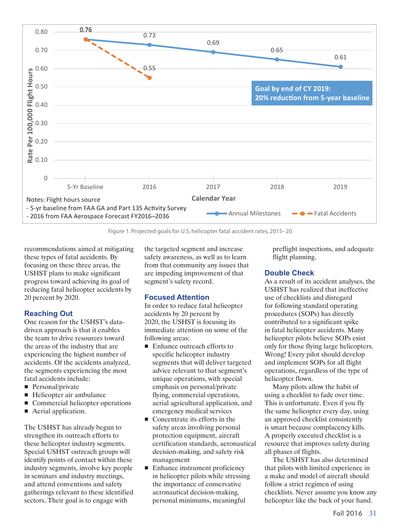

Figure 1. Projected goals for U.S. helicopter fatal accident rates, 2015–20.

recommendations aimed at mitigating these types of fatal accidents. By focusing on these three areas, the USHST plans to make significant progress toward achieving its goal of reducing fatal helicopter accidents by 20 percent by 2020.

# **Reaching Out**

One reason for the USHST's datadriven approach is that it enables the team to drive resources toward the areas of the industry that are experiencing the highest number of accidents. Of the accidents analyzed, the segments experiencing the most fatal accidents include:

- Personal/private
- Helicopter air ambulance
- Commercial helicopter operations
- Aerial application.

The USHST has already begun to strengthen its outreach efforts to these helicopter industry segments. Special USHST outreach groups will identify points of contact within these industry segments, involve key people in seminars and industry meetings, and attend conventions and safety gatherings relevant to these identified sectors. Their goal is to engage with

the targeted segment and increase safety awareness, as well as to learn from that community any issues that are impeding improvement of that segment's safety record.

## **Focused Attention**

In order to reduce fatal helicopter accidents by 20 percent by 2020, the USHST is focusing its immediate attention on some of the following areas:

- Enhance outreach efforts to specific helicopter industry segments that will deliver targeted advice relevant to that segment's unique operations, with special emphasis on personal/private flying, commercial operations, aerial agricultural application, and emergency medical services
- Concentrate its efforts in the safety areas involving personal protection equipment, aircraft certification standards, aeronautical decision-making, and safety risk management
- Enhance instrument proficiency in helicopter pilots while stressing the importance of conservative aeronautical decision-making, personal minimums, meaningful

preflight inspections, and adequate flight planning.

#### **Double Check**

As a result of its accident analyses, the USHST has realized that ineffective use of checklists and disregard for following standard operating procedures (SOPs) has directly contributed to a significant spike in fatal helicopter accidents. Many helicopter pilots believe SOPs exist only for those flying large helicopters. Wrong! Every pilot should develop and implement SOPs for all flight operations, regardless of the type of helicopter flown.

Many pilots allow the habit of using a checklist to fade over time. This is unfortunate. Even if you fly the same helicopter every day, using an approved checklist consistently is smart because complacency kills. A properly executed checklist is a resource that improves safety during all phases of flights.

The USHST has also determined that pilots with limited experience in a make and model of aircraft should follow a strict regimen of using checklists. Never assume you know any helicopter like the back of your hand.